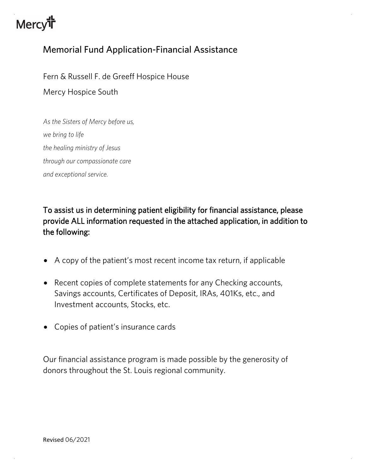# **Mercy<sup>th</sup>**

## Memorial Fund Application-Financial Assistance

Fern & Russell F. de Greeff Hospice House

Mercy Hospice South

*As the Sisters of Mercy before us, we bring to life the healing ministry of Jesus through our compassionate care and exceptional service.*

To assist us in determining patient eligibility for financial assistance, please provide ALL information requested in the attached application, in addition to the following:

- A copy of the patient's most recent income tax return, if applicable
- Recent copies of complete statements for any Checking accounts, Savings accounts, Certificates of Deposit, IRAs, 401Ks, etc., and Investment accounts, Stocks, etc.
- Copies of patient's insurance cards

Our financial assistance program is made possible by the generosity of donors throughout the St. Louis regional community.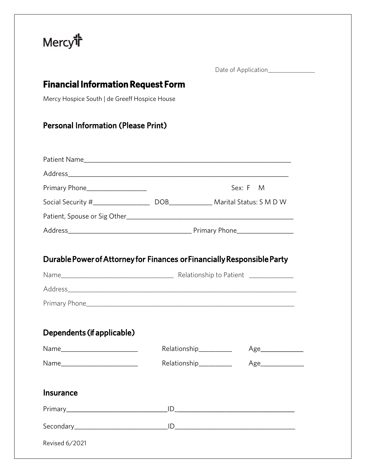

Date of Application\_\_\_\_\_\_\_\_\_\_\_\_\_\_\_

## **Financial Information Request Form**

Mercy Hospice South | de Greeff Hospice House

## Personal Information (Please Print)

| Primary Phone_____________________                                      |                        | Sex: F M           |  |
|-------------------------------------------------------------------------|------------------------|--------------------|--|
|                                                                         |                        |                    |  |
|                                                                         |                        |                    |  |
|                                                                         |                        |                    |  |
|                                                                         |                        |                    |  |
| Durable Power of Attorney for Finances or Financially Responsible Party |                        |                    |  |
|                                                                         |                        |                    |  |
|                                                                         |                        |                    |  |
|                                                                         |                        |                    |  |
|                                                                         |                        |                    |  |
| Dependents (if applicable)                                              |                        |                    |  |
| Name___________________________                                         | Relationship_________  | Age_______________ |  |
|                                                                         | Relationship__________ | Age                |  |
|                                                                         |                        |                    |  |
| <b>Insurance</b>                                                        |                        |                    |  |
|                                                                         |                        |                    |  |
|                                                                         |                        |                    |  |
| Revised 6/2021                                                          |                        |                    |  |
|                                                                         |                        |                    |  |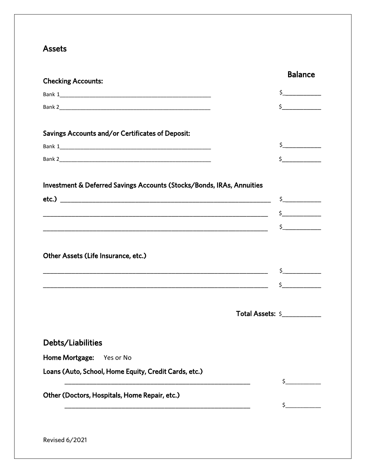### **Assets**

| <b>Checking Accounts:</b>                                             |                  | <b>Balance</b>                                                                                                                                                                                                                                                                                                                                                                                                                                                                                                                                                                                                                                                                                                                                             |
|-----------------------------------------------------------------------|------------------|------------------------------------------------------------------------------------------------------------------------------------------------------------------------------------------------------------------------------------------------------------------------------------------------------------------------------------------------------------------------------------------------------------------------------------------------------------------------------------------------------------------------------------------------------------------------------------------------------------------------------------------------------------------------------------------------------------------------------------------------------------|
|                                                                       |                  | $\begin{array}{c} \n \uparrow \quad \quad \quad \downarrow \quad \quad \quad \downarrow \quad \quad \downarrow \quad \quad \downarrow \quad \quad \downarrow \quad \quad \downarrow \quad \quad \downarrow \quad \downarrow \quad \downarrow \quad \downarrow \quad \downarrow \quad \downarrow \quad \downarrow \quad \downarrow \quad \downarrow \quad \downarrow \quad \downarrow \quad \downarrow \quad \downarrow \quad \downarrow \quad \downarrow \quad \downarrow \quad \downarrow \quad \downarrow \quad \downarrow \quad \downarrow \quad \downarrow \quad \downarrow \quad \downarrow \quad \downarrow \quad \downarrow \quad \downarrow \quad \downarrow \quad \downarrow \quad \downarrow \quad \downarrow \quad \downarrow \quad \downarrow$ |
|                                                                       |                  | s                                                                                                                                                                                                                                                                                                                                                                                                                                                                                                                                                                                                                                                                                                                                                          |
|                                                                       |                  |                                                                                                                                                                                                                                                                                                                                                                                                                                                                                                                                                                                                                                                                                                                                                            |
| Savings Accounts and/or Certificates of Deposit:                      |                  |                                                                                                                                                                                                                                                                                                                                                                                                                                                                                                                                                                                                                                                                                                                                                            |
|                                                                       |                  | $\zeta$                                                                                                                                                                                                                                                                                                                                                                                                                                                                                                                                                                                                                                                                                                                                                    |
|                                                                       |                  | $\begin{picture}(20,20) \put(0,0){\line(1,0){10}} \put(15,0){\line(1,0){10}} \put(15,0){\line(1,0){10}} \put(15,0){\line(1,0){10}} \put(15,0){\line(1,0){10}} \put(15,0){\line(1,0){10}} \put(15,0){\line(1,0){10}} \put(15,0){\line(1,0){10}} \put(15,0){\line(1,0){10}} \put(15,0){\line(1,0){10}} \put(15,0){\line(1,0){10}} \put(15,0){\line(1$                                                                                                                                                                                                                                                                                                                                                                                                        |
|                                                                       |                  |                                                                                                                                                                                                                                                                                                                                                                                                                                                                                                                                                                                                                                                                                                                                                            |
| Investment & Deferred Savings Accounts (Stocks/Bonds, IRAs, Annuities |                  |                                                                                                                                                                                                                                                                                                                                                                                                                                                                                                                                                                                                                                                                                                                                                            |
|                                                                       |                  |                                                                                                                                                                                                                                                                                                                                                                                                                                                                                                                                                                                                                                                                                                                                                            |
|                                                                       |                  | $\begin{array}{c} \n \xi \end{array}$                                                                                                                                                                                                                                                                                                                                                                                                                                                                                                                                                                                                                                                                                                                      |
|                                                                       |                  | $\frac{1}{2}$                                                                                                                                                                                                                                                                                                                                                                                                                                                                                                                                                                                                                                                                                                                                              |
|                                                                       |                  |                                                                                                                                                                                                                                                                                                                                                                                                                                                                                                                                                                                                                                                                                                                                                            |
| Other Assets (Life Insurance, etc.)                                   |                  |                                                                                                                                                                                                                                                                                                                                                                                                                                                                                                                                                                                                                                                                                                                                                            |
|                                                                       |                  | $\zeta$                                                                                                                                                                                                                                                                                                                                                                                                                                                                                                                                                                                                                                                                                                                                                    |
|                                                                       |                  | $\ddot{\text{S}}$                                                                                                                                                                                                                                                                                                                                                                                                                                                                                                                                                                                                                                                                                                                                          |
|                                                                       |                  |                                                                                                                                                                                                                                                                                                                                                                                                                                                                                                                                                                                                                                                                                                                                                            |
|                                                                       |                  |                                                                                                                                                                                                                                                                                                                                                                                                                                                                                                                                                                                                                                                                                                                                                            |
|                                                                       | Total Assets: \$ |                                                                                                                                                                                                                                                                                                                                                                                                                                                                                                                                                                                                                                                                                                                                                            |
|                                                                       |                  |                                                                                                                                                                                                                                                                                                                                                                                                                                                                                                                                                                                                                                                                                                                                                            |
| Debts/Liabilities                                                     |                  |                                                                                                                                                                                                                                                                                                                                                                                                                                                                                                                                                                                                                                                                                                                                                            |
| Home Mortgage:<br>Yes or No                                           |                  |                                                                                                                                                                                                                                                                                                                                                                                                                                                                                                                                                                                                                                                                                                                                                            |
| Loans (Auto, School, Home Equity, Credit Cards, etc.)                 |                  |                                                                                                                                                                                                                                                                                                                                                                                                                                                                                                                                                                                                                                                                                                                                                            |
|                                                                       | \$_              |                                                                                                                                                                                                                                                                                                                                                                                                                                                                                                                                                                                                                                                                                                                                                            |
| Other (Doctors, Hospitals, Home Repair, etc.)                         | \$               |                                                                                                                                                                                                                                                                                                                                                                                                                                                                                                                                                                                                                                                                                                                                                            |
|                                                                       |                  |                                                                                                                                                                                                                                                                                                                                                                                                                                                                                                                                                                                                                                                                                                                                                            |
|                                                                       |                  |                                                                                                                                                                                                                                                                                                                                                                                                                                                                                                                                                                                                                                                                                                                                                            |

Revised 6/2021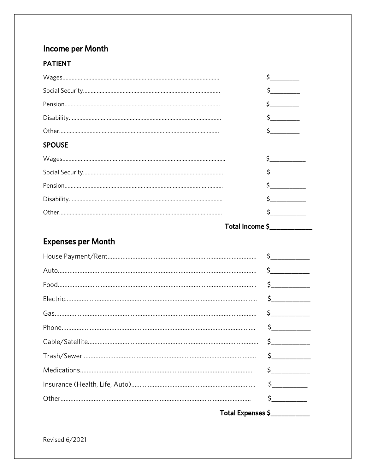# Income per Month

#### **PATIENT**

|                           | $\mathsf{\$}$                                                                                                                                                                                                                                                                                                                                       |
|---------------------------|-----------------------------------------------------------------------------------------------------------------------------------------------------------------------------------------------------------------------------------------------------------------------------------------------------------------------------------------------------|
|                           | $\frac{1}{2}$                                                                                                                                                                                                                                                                                                                                       |
|                           | $\frac{1}{2}$                                                                                                                                                                                                                                                                                                                                       |
|                           | $\frac{1}{2}$                                                                                                                                                                                                                                                                                                                                       |
|                           | $\frac{1}{2}$                                                                                                                                                                                                                                                                                                                                       |
| <b>SPOUSE</b>             |                                                                                                                                                                                                                                                                                                                                                     |
|                           | $\frac{1}{2}$                                                                                                                                                                                                                                                                                                                                       |
|                           | $\begin{array}{c} \xi \end{array}$                                                                                                                                                                                                                                                                                                                  |
|                           | $\begin{array}{c} \xi \end{array}$                                                                                                                                                                                                                                                                                                                  |
|                           | $\frac{1}{2}$                                                                                                                                                                                                                                                                                                                                       |
|                           | s                                                                                                                                                                                                                                                                                                                                                   |
|                           | Total Income \$                                                                                                                                                                                                                                                                                                                                     |
| <b>Expenses per Month</b> |                                                                                                                                                                                                                                                                                                                                                     |
|                           | $\frac{1}{2}$                                                                                                                                                                                                                                                                                                                                       |
|                           | $\frac{1}{2}$                                                                                                                                                                                                                                                                                                                                       |
|                           | $\frac{1}{2}$                                                                                                                                                                                                                                                                                                                                       |
|                           | $\begin{picture}(20,20) \put(0,0){\line(1,0){10}} \put(15,0){\line(1,0){10}} \put(15,0){\line(1,0){10}} \put(15,0){\line(1,0){10}} \put(15,0){\line(1,0){10}} \put(15,0){\line(1,0){10}} \put(15,0){\line(1,0){10}} \put(15,0){\line(1,0){10}} \put(15,0){\line(1,0){10}} \put(15,0){\line(1,0){10}} \put(15,0){\line(1,0){10}} \put(15,0){\line(1$ |
|                           | $\mathsf{S}\_\_$                                                                                                                                                                                                                                                                                                                                    |
|                           | $\frac{1}{2}$                                                                                                                                                                                                                                                                                                                                       |
|                           | $\frac{1}{2}$                                                                                                                                                                                                                                                                                                                                       |
|                           | $\frac{1}{2}$                                                                                                                                                                                                                                                                                                                                       |
|                           |                                                                                                                                                                                                                                                                                                                                                     |
|                           | $\begin{picture}(20,20) \put(0,0){\line(1,0){10}} \put(15,0){\line(1,0){10}} \put(15,0){\line(1,0){10}} \put(15,0){\line(1,0){10}} \put(15,0){\line(1,0){10}} \put(15,0){\line(1,0){10}} \put(15,0){\line(1,0){10}} \put(15,0){\line(1,0){10}} \put(15,0){\line(1,0){10}} \put(15,0){\line(1,0){10}} \put(15,0){\line(1,0){10}} \put(15,0){\line(1$ |
|                           | $\begin{picture}(20,20) \put(0,0){\line(1,0){10}} \put(15,0){\line(1,0){10}} \put(15,0){\line(1,0){10}} \put(15,0){\line(1,0){10}} \put(15,0){\line(1,0){10}} \put(15,0){\line(1,0){10}} \put(15,0){\line(1,0){10}} \put(15,0){\line(1,0){10}} \put(15,0){\line(1,0){10}} \put(15,0){\line(1,0){10}} \put(15,0){\line(1,0){10}} \put(15,0){\line(1$ |
|                           | $\begin{picture}(20,20) \put(0,0){\line(1,0){10}} \put(15,0){\line(1,0){10}} \put(15,0){\line(1,0){10}} \put(15,0){\line(1,0){10}} \put(15,0){\line(1,0){10}} \put(15,0){\line(1,0){10}} \put(15,0){\line(1,0){10}} \put(15,0){\line(1,0){10}} \put(15,0){\line(1,0){10}} \put(15,0){\line(1,0){10}} \put(15,0){\line(1,0){10}} \put(15,0){\line(1$ |